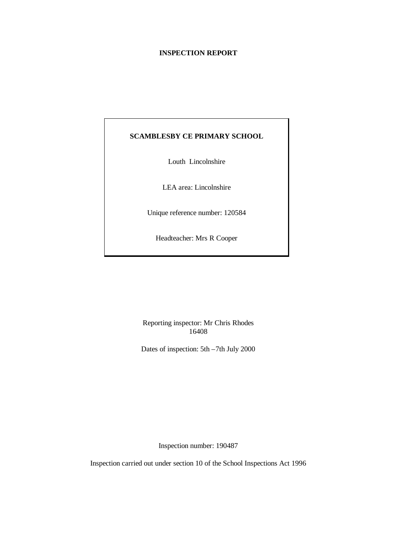#### **INSPECTION REPORT**

# **SCAMBLESBY CE PRIMARY SCHOOL**

Louth Lincolnshire

LEA area: Lincolnshire

Unique reference number: 120584

Headteacher: Mrs R Cooper

Reporting inspector: Mr Chris Rhodes 16408

Dates of inspection: 5th –7th July 2000

Inspection number: 190487

Inspection carried out under section 10 of the School Inspections Act 1996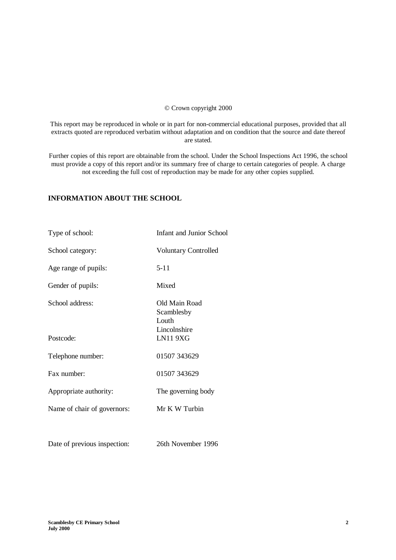#### © Crown copyright 2000

This report may be reproduced in whole or in part for non-commercial educational purposes, provided that all extracts quoted are reproduced verbatim without adaptation and on condition that the source and date thereof are stated.

Further copies of this report are obtainable from the school. Under the School Inspections Act 1996, the school must provide a copy of this report and/or its summary free of charge to certain categories of people. A charge not exceeding the full cost of reproduction may be made for any other copies supplied.

## **INFORMATION ABOUT THE SCHOOL**

| Type of school:              | <b>Infant and Junior School</b>                      |
|------------------------------|------------------------------------------------------|
| School category:             | <b>Voluntary Controlled</b>                          |
| Age range of pupils:         | $5-11$                                               |
| Gender of pupils:            | Mixed                                                |
| School address:              | Old Main Road<br>Scamblesby<br>Louth<br>Lincolnshire |
| Postcode:                    | LN119XG                                              |
| Telephone number:            | 01507 343629                                         |
| Fax number:                  | 01507 343629                                         |
| Appropriate authority:       | The governing body                                   |
| Name of chair of governors:  | Mr K W Turbin                                        |
|                              |                                                      |
| Date of previous inspection: | 26th November 1996                                   |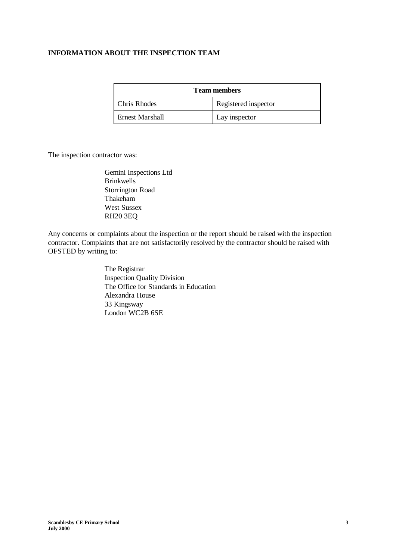## **INFORMATION ABOUT THE INSPECTION TEAM**

| <b>Team members</b> |                      |  |
|---------------------|----------------------|--|
| Chris Rhodes        | Registered inspector |  |
| Ernest Marshall     | Lay inspector        |  |

The inspection contractor was:

Gemini Inspections Ltd **Brinkwells** Storrington Road Thakeham West Sussex RH20 3EQ

Any concerns or complaints about the inspection or the report should be raised with the inspection contractor. Complaints that are not satisfactorily resolved by the contractor should be raised with OFSTED by writing to:

> The Registrar Inspection Quality Division The Office for Standards in Education Alexandra House 33 Kingsway London WC2B 6SE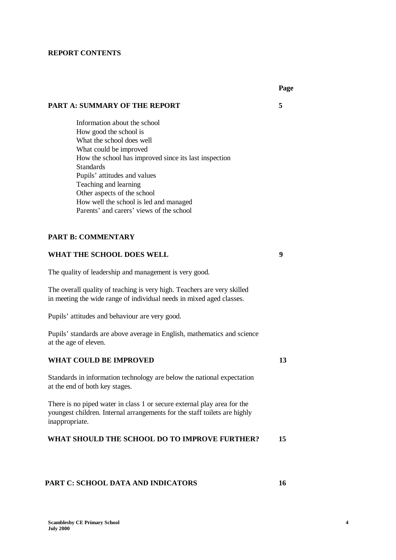#### **REPORT CONTENTS**

**Page**

#### **PART A: SUMMARY OF THE REPORT 5**

Information about the school How good the school is What the school does well What could be improved How the school has improved since its last inspection **Standards** Pupils' attitudes and values Teaching and learning Other aspects of the school How well the school is led and managed Parents' and carers' views of the school

#### **PART B: COMMENTARY**

## **WHAT THE SCHOOL DOES WELL 9**

The quality of leadership and management is very good.

The overall quality of teaching is very high. Teachers are very skilled in meeting the wide range of individual needs in mixed aged classes.

Pupils' attitudes and behaviour are very good.

Pupils' standards are above average in English, mathematics and science at the age of eleven.

### **WHAT COULD BE IMPROVED 13**

Standards in information technology are below the national expectation at the end of both key stages.

There is no piped water in class 1 or secure external play area for the youngest children. Internal arrangements for the staff toilets are highly inappropriate.

#### **WHAT SHOULD THE SCHOOL DO TO IMPROVE FURTHER? 15**

#### **PART C: SCHOOL DATA AND INDICATORS 16**

**Scamblesby CE Primary School July 2000**

**4**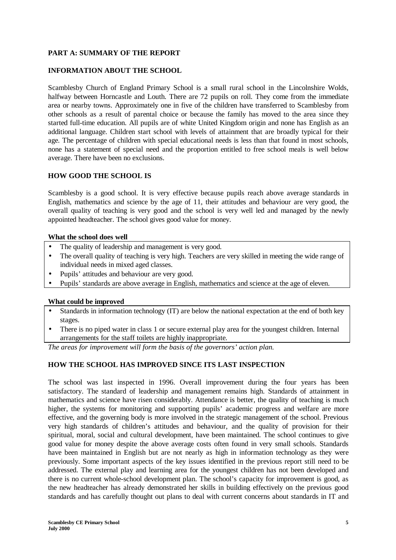## **PART A: SUMMARY OF THE REPORT**

## **INFORMATION ABOUT THE SCHOOL**

Scamblesby Church of England Primary School is a small rural school in the Lincolnshire Wolds, halfway between Horncastle and Louth. There are 72 pupils on roll. They come from the immediate area or nearby towns. Approximately one in five of the children have transferred to Scamblesby from other schools as a result of parental choice or because the family has moved to the area since they started full-time education. All pupils are of white United Kingdom origin and none has English as an additional language. Children start school with levels of attainment that are broadly typical for their age. The percentage of children with special educational needs is less than that found in most schools, none has a statement of special need and the proportion entitled to free school meals is well below average. There have been no exclusions.

## **HOW GOOD THE SCHOOL IS**

Scamblesby is a good school. It is very effective because pupils reach above average standards in English, mathematics and science by the age of 11, their attitudes and behaviour are very good, the overall quality of teaching is very good and the school is very well led and managed by the newly appointed headteacher. The school gives good value for money.

#### **What the school does well**

- The quality of leadership and management is very good.
- The overall quality of teaching is very high. Teachers are very skilled in meeting the wide range of individual needs in mixed aged classes.
- Pupils' attitudes and behaviour are very good.
- Pupils' standards are above average in English, mathematics and science at the age of eleven.

#### **What could be improved**

- Standards in information technology (IT) are below the national expectation at the end of both key stages.
- There is no piped water in class 1 or secure external play area for the youngest children. Internal arrangements for the staff toilets are highly inappropriate.

*The areas for improvement will form the basis of the governors' action plan.*

#### **HOW THE SCHOOL HAS IMPROVED SINCE ITS LAST INSPECTION**

The school was last inspected in 1996. Overall improvement during the four years has been satisfactory. The standard of leadership and management remains high. Standards of attainment in mathematics and science have risen considerably. Attendance is better, the quality of teaching is much higher, the systems for monitoring and supporting pupils' academic progress and welfare are more effective, and the governing body is more involved in the strategic management of the school. Previous very high standards of children's attitudes and behaviour, and the quality of provision for their spiritual, moral, social and cultural development, have been maintained. The school continues to give good value for money despite the above average costs often found in very small schools. Standards have been maintained in English but are not nearly as high in information technology as they were previously. Some important aspects of the key issues identified in the previous report still need to be addressed. The external play and learning area for the youngest children has not been developed and there is no current whole-school development plan. The school's capacity for improvement is good, as the new headteacher has already demonstrated her skills in building effectively on the previous good standards and has carefully thought out plans to deal with current concerns about standards in IT and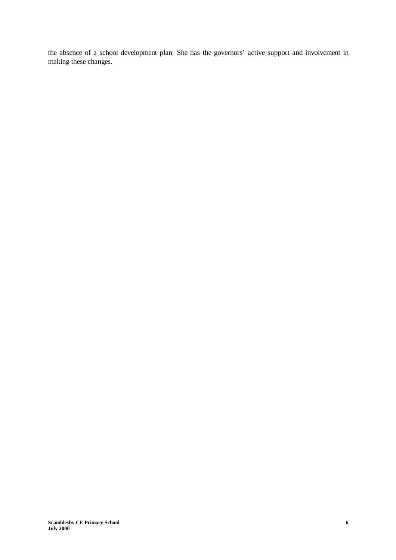the absence of a school development plan. She has the governors' active support and involvement in making these changes.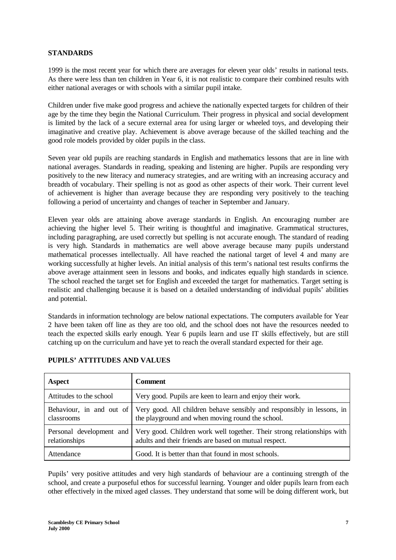## **STANDARDS**

1999 is the most recent year for which there are averages for eleven year olds' results in national tests. As there were less than ten children in Year 6, it is not realistic to compare their combined results with either national averages or with schools with a similar pupil intake.

Children under five make good progress and achieve the nationally expected targets for children of their age by the time they begin the National Curriculum. Their progress in physical and social development is limited by the lack of a secure external area for using larger or wheeled toys, and developing their imaginative and creative play. Achievement is above average because of the skilled teaching and the good role models provided by older pupils in the class.

Seven year old pupils are reaching standards in English and mathematics lessons that are in line with national averages. Standards in reading, speaking and listening are higher. Pupils are responding very positively to the new literacy and numeracy strategies, and are writing with an increasing accuracy and breadth of vocabulary. Their spelling is not as good as other aspects of their work. Their current level of achievement is higher than average because they are responding very positively to the teaching following a period of uncertainty and changes of teacher in September and January.

Eleven year olds are attaining above average standards in English. An encouraging number are achieving the higher level 5. Their writing is thoughtful and imaginative. Grammatical structures, including paragraphing, are used correctly but spelling is not accurate enough. The standard of reading is very high. Standards in mathematics are well above average because many pupils understand mathematical processes intellectually. All have reached the national target of level 4 and many are working successfully at higher levels. An initial analysis of this term's national test results confirms the above average attainment seen in lessons and books, and indicates equally high standards in science. The school reached the target set for English and exceeded the target for mathematics. Target setting is realistic and challenging because it is based on a detailed understanding of individual pupils' abilities and potential.

Standards in information technology are below national expectations. The computers available for Year 2 have been taken off line as they are too old, and the school does not have the resources needed to teach the expected skills early enough. Year 6 pupils learn and use IT skills effectively, but are still catching up on the curriculum and have yet to reach the overall standard expected for their age.

| Aspect                                    | <b>Comment</b>                                                                                                                   |
|-------------------------------------------|----------------------------------------------------------------------------------------------------------------------------------|
| Attitudes to the school                   | Very good. Pupils are keen to learn and enjoy their work.                                                                        |
| Behaviour, in and out of<br>classrooms    | Very good. All children behave sensibly and responsibly in lessons, in<br>the playground and when moving round the school.       |
| Personal development and<br>relationships | Very good. Children work well together. Their strong relationships with<br>adults and their friends are based on mutual respect. |
| Attendance                                | Good. It is better than that found in most schools.                                                                              |

# **PUPILS' ATTITUDES AND VALUES**

Pupils' very positive attitudes and very high standards of behaviour are a continuing strength of the school, and create a purposeful ethos for successful learning. Younger and older pupils learn from each other effectively in the mixed aged classes. They understand that some will be doing different work, but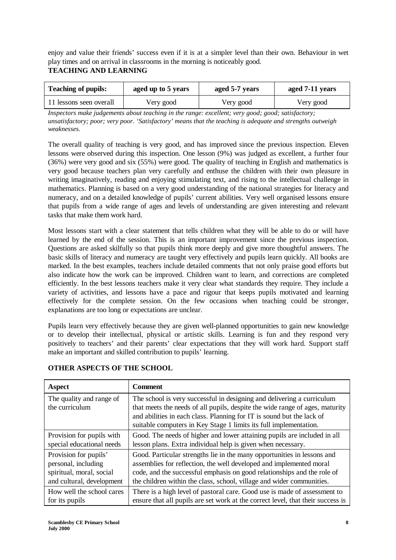enjoy and value their friends' success even if it is at a simpler level than their own. Behaviour in wet play times and on arrival in classrooms in the morning is noticeably good.

# **TEACHING AND LEARNING**

| <b>Teaching of pupils:</b><br>aged up to 5 years |           | aged 5-7 years | aged 7-11 years |  |
|--------------------------------------------------|-----------|----------------|-----------------|--|
| 11 lessons seen overall                          | Very good | Very good      | Very good       |  |

*Inspectors make judgements about teaching in the range: excellent; very good; good; satisfactory; unsatisfactory; poor; very poor. 'Satisfactory' means that the teaching is adequate and strengths outweigh weaknesses.*

The overall quality of teaching is very good, and has improved since the previous inspection. Eleven lessons were observed during this inspection. One lesson (9%) was judged as excellent, a further four (36%) were very good and six (55%) were good. The quality of teaching in English and mathematics is very good because teachers plan very carefully and enthuse the children with their own pleasure in writing imaginatively, reading and enjoying stimulating text, and rising to the intellectual challenge in mathematics. Planning is based on a very good understanding of the national strategies for literacy and numeracy, and on a detailed knowledge of pupils' current abilities. Very well organised lessons ensure that pupils from a wide range of ages and levels of understanding are given interesting and relevant tasks that make them work hard.

Most lessons start with a clear statement that tells children what they will be able to do or will have learned by the end of the session. This is an important improvement since the previous inspection. Questions are asked skilfully so that pupils think more deeply and give more thoughtful answers. The basic skills of literacy and numeracy are taught very effectively and pupils learn quickly. All books are marked. In the best examples, teachers include detailed comments that not only praise good efforts but also indicate how the work can be improved. Children want to learn, and corrections are completed efficiently. In the best lessons teachers make it very clear what standards they require. They include a variety of activities, and lessons have a pace and rigour that keeps pupils motivated and learning effectively for the complete session. On the few occasions when teaching could be stronger, explanations are too long or expectations are unclear.

Pupils learn very effectively because they are given well-planned opportunities to gain new knowledge or to develop their intellectual, physical or artistic skills. Learning is fun and they respond very positively to teachers' and their parents' clear expectations that they will work hard. Support staff make an important and skilled contribution to pupils' learning.

| Aspect                                     | <b>Comment</b>                                                                                                                                                                                                                                                                                       |
|--------------------------------------------|------------------------------------------------------------------------------------------------------------------------------------------------------------------------------------------------------------------------------------------------------------------------------------------------------|
| The quality and range of<br>the curriculum | The school is very successful in designing and delivering a curriculum<br>that meets the needs of all pupils, despite the wide range of ages, maturity<br>and abilities in each class. Planning for IT is sound but the lack of<br>suitable computers in Key Stage 1 limits its full implementation. |
| Provision for pupils with                  | Good. The needs of higher and lower attaining pupils are included in all                                                                                                                                                                                                                             |
| special educational needs                  | lesson plans. Extra individual help is given when necessary.                                                                                                                                                                                                                                         |
| Provision for pupils'                      | Good. Particular strengths lie in the many opportunities in lessons and                                                                                                                                                                                                                              |
| personal, including                        | assemblies for reflection, the well developed and implemented moral                                                                                                                                                                                                                                  |
| spiritual, moral, social                   | code, and the successful emphasis on good relationships and the role of                                                                                                                                                                                                                              |
| and cultural, development                  | the children within the class, school, village and wider communities.                                                                                                                                                                                                                                |
| How well the school cares                  | There is a high level of pastoral care. Good use is made of assessment to                                                                                                                                                                                                                            |
| for its pupils                             | ensure that all pupils are set work at the correct level, that their success is                                                                                                                                                                                                                      |

# **OTHER ASPECTS OF THE SCHOOL**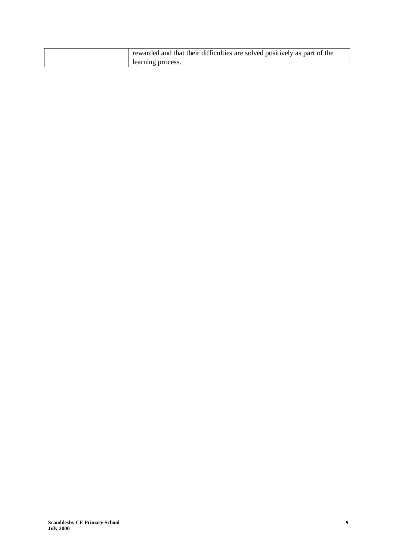| rewarded and that their difficulties are solved positively as part of the |
|---------------------------------------------------------------------------|
| learning process.                                                         |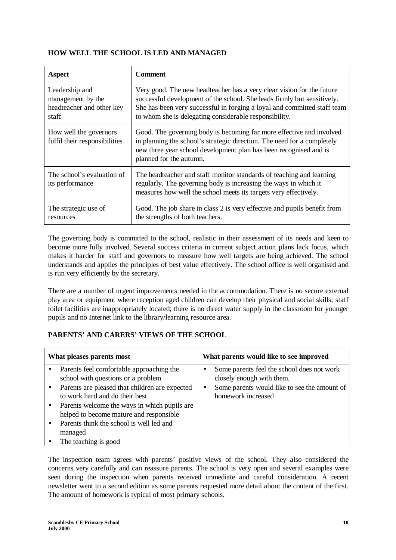# **HOW WELL THE SCHOOL IS LED AND MANAGED**

| <b>Aspect</b>                                                             | <b>Comment</b>                                                                                                                                                                                                                                                                         |
|---------------------------------------------------------------------------|----------------------------------------------------------------------------------------------------------------------------------------------------------------------------------------------------------------------------------------------------------------------------------------|
| Leadership and<br>management by the<br>headteacher and other key<br>staff | Very good. The new headteacher has a very clear vision for the future<br>successful development of the school. She leads firmly but sensitively.<br>She has been very successful in forging a loyal and committed staff team<br>to whom she is delegating considerable responsibility. |
| How well the governors<br>fulfil their responsibilities                   | Good. The governing body is becoming far more effective and involved<br>in planning the school's strategic direction. The need for a completely<br>new three year school development plan has been recognised and is<br>planned for the autumn.                                        |
| The school's evaluation of<br>its performance                             | The headteacher and staff monitor standards of teaching and learning<br>regularly. The governing body is increasing the ways in which it<br>measures how well the school meets its targets very effectively.                                                                           |
| The strategic use of<br>resources                                         | Good. The job share in class 2 is very effective and pupils benefit from<br>the strengths of both teachers.                                                                                                                                                                            |

The governing body is committed to the school, realistic in their assessment of its needs and keen to become more fully involved. Several success criteria in current subject action plans lack focus, which makes it harder for staff and governors to measure how well targets are being achieved. The school understands and applies the principles of best value effectively. The school office is well organised and is run very efficiently by the secretary.

There are a number of urgent improvements needed in the accommodation. There is no secure external play area or equipment where reception aged children can develop their physical and social skills; staff toilet facilities are inappropriately located; there is no direct water supply in the classroom for younger pupils and no Internet link to the library/learning resource area.

# **PARENTS' AND CARERS' VIEWS OF THE SCHOOL**

|           | What pleases parents most                                                                                                                                          | What parents would like to see improved                                                                                                       |
|-----------|--------------------------------------------------------------------------------------------------------------------------------------------------------------------|-----------------------------------------------------------------------------------------------------------------------------------------------|
| $\bullet$ | Parents feel comfortable approaching the<br>school with questions or a problem<br>Parents are pleased that children are expected<br>to work hard and do their best | Some parents feel the school does not work<br>closely enough with them.<br>Some parents would like to see the amount of<br>homework increased |
|           | Parents welcome the ways in which pupils are<br>helped to become mature and responsible                                                                            |                                                                                                                                               |
|           | Parents think the school is well led and<br>managed<br>The teaching is good                                                                                        |                                                                                                                                               |

The inspection team agrees with parents' positive views of the school. They also considered the concerns very carefully and can reassure parents. The school is very open and several examples were seen during the inspection when parents received immediate and careful consideration. A recent newsletter went to a second edition as some parents requested more detail about the content of the first. The amount of homework is typical of most primary schools.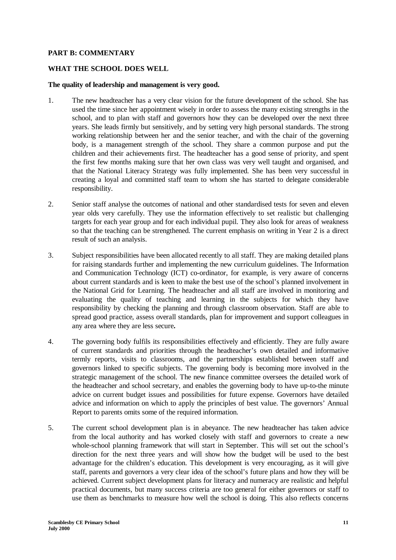#### **PART B: COMMENTARY**

#### **WHAT THE SCHOOL DOES WELL**

#### **The quality of leadership and management is very good.**

- 1. The new headteacher has a very clear vision for the future development of the school. She has used the time since her appointment wisely in order to assess the many existing strengths in the school, and to plan with staff and governors how they can be developed over the next three years. She leads firmly but sensitively, and by setting very high personal standards. The strong working relationship between her and the senior teacher, and with the chair of the governing body, is a management strength of the school. They share a common purpose and put the children and their achievements first. The headteacher has a good sense of priority, and spent the first few months making sure that her own class was very well taught and organised, and that the National Literacy Strategy was fully implemented. She has been very successful in creating a loyal and committed staff team to whom she has started to delegate considerable responsibility.
- 2. Senior staff analyse the outcomes of national and other standardised tests for seven and eleven year olds very carefully. They use the information effectively to set realistic but challenging targets for each year group and for each individual pupil. They also look for areas of weakness so that the teaching can be strengthened. The current emphasis on writing in Year 2 is a direct result of such an analysis.
- 3. Subject responsibilities have been allocated recently to all staff. They are making detailed plans for raising standards further and implementing the new curriculum guidelines. The Information and Communication Technology (ICT) co-ordinator, for example, is very aware of concerns about current standards and is keen to make the best use of the school's planned involvement in the National Grid for Learning. The headteacher and all staff are involved in monitoring and evaluating the quality of teaching and learning in the subjects for which they have responsibility by checking the planning and through classroom observation. Staff are able to spread good practice, assess overall standards, plan for improvement and support colleagues in any area where they are less secure**.**
- 4. The governing body fulfils its responsibilities effectively and efficiently. They are fully aware of current standards and priorities through the headteacher's own detailed and informative termly reports, visits to classrooms, and the partnerships established between staff and governors linked to specific subjects. The governing body is becoming more involved in the strategic management of the school. The new finance committee oversees the detailed work of the headteacher and school secretary, and enables the governing body to have up-to-the minute advice on current budget issues and possibilities for future expense. Governors have detailed advice and information on which to apply the principles of best value. The governors' Annual Report to parents omits some of the required information.
- 5. The current school development plan is in abeyance. The new headteacher has taken advice from the local authority and has worked closely with staff and governors to create a new whole-school planning framework that will start in September. This will set out the school's direction for the next three years and will show how the budget will be used to the best advantage for the children's education. This development is very encouraging, as it will give staff, parents and governors a very clear idea of the school's future plans and how they will be achieved. Current subject development plans for literacy and numeracy are realistic and helpful practical documents, but many success criteria are too general for either governors or staff to use them as benchmarks to measure how well the school is doing. This also reflects concerns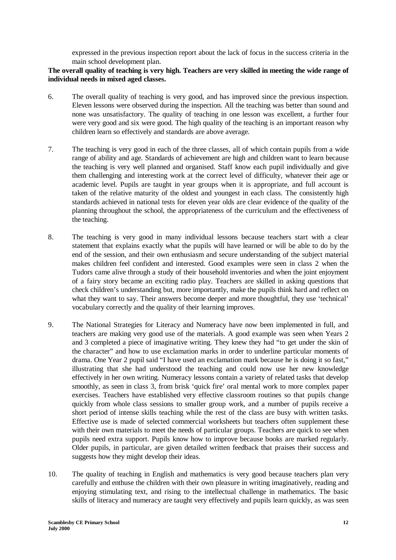expressed in the previous inspection report about the lack of focus in the success criteria in the main school development plan.

## **The overall quality of teaching is very high. Teachers are very skilled in meeting the wide range of individual needs in mixed aged classes.**

- 6. The overall quality of teaching is very good, and has improved since the previous inspection. Eleven lessons were observed during the inspection. All the teaching was better than sound and none was unsatisfactory. The quality of teaching in one lesson was excellent, a further four were very good and six were good. The high quality of the teaching is an important reason why children learn so effectively and standards are above average.
- 7. The teaching is very good in each of the three classes, all of which contain pupils from a wide range of ability and age. Standards of achievement are high and children want to learn because the teaching is very well planned and organised. Staff know each pupil individually and give them challenging and interesting work at the correct level of difficulty, whatever their age or academic level. Pupils are taught in year groups when it is appropriate, and full account is taken of the relative maturity of the oldest and youngest in each class. The consistently high standards achieved in national tests for eleven year olds are clear evidence of the quality of the planning throughout the school, the appropriateness of the curriculum and the effectiveness of the teaching.
- 8. The teaching is very good in many individual lessons because teachers start with a clear statement that explains exactly what the pupils will have learned or will be able to do by the end of the session, and their own enthusiasm and secure understanding of the subject material makes children feel confident and interested. Good examples were seen in class 2 when the Tudors came alive through a study of their household inventories and when the joint enjoyment of a fairy story became an exciting radio play. Teachers are skilled in asking questions that check children's understanding but, more importantly, make the pupils think hard and reflect on what they want to say. Their answers become deeper and more thoughtful, they use 'technical' vocabulary correctly and the quality of their learning improves.
- 9. The National Strategies for Literacy and Numeracy have now been implemented in full, and teachers are making very good use of the materials. A good example was seen when Years 2 and 3 completed a piece of imaginative writing. They knew they had "to get under the skin of the character" and how to use exclamation marks in order to underline particular moments of drama. One Year 2 pupil said "I have used an exclamation mark because he is doing it so fast," illustrating that she had understood the teaching and could now use her new knowledge effectively in her own writing. Numeracy lessons contain a variety of related tasks that develop smoothly, as seen in class 3, from brisk 'quick fire' oral mental work to more complex paper exercises. Teachers have established very effective classroom routines so that pupils change quickly from whole class sessions to smaller group work, and a number of pupils receive a short period of intense skills teaching while the rest of the class are busy with written tasks. Effective use is made of selected commercial worksheets but teachers often supplement these with their own materials to meet the needs of particular groups. Teachers are quick to see when pupils need extra support. Pupils know how to improve because books are marked regularly. Older pupils, in particular, are given detailed written feedback that praises their success and suggests how they might develop their ideas.
- 10. The quality of teaching in English and mathematics is very good because teachers plan very carefully and enthuse the children with their own pleasure in writing imaginatively, reading and enjoying stimulating text, and rising to the intellectual challenge in mathematics. The basic skills of literacy and numeracy are taught very effectively and pupils learn quickly, as was seen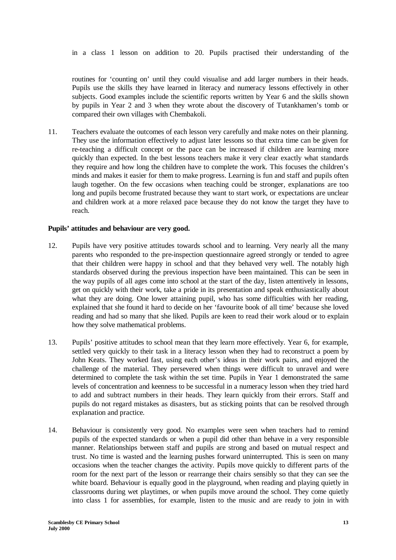in a class 1 lesson on addition to 20. Pupils practised their understanding of the

routines for 'counting on' until they could visualise and add larger numbers in their heads. Pupils use the skills they have learned in literacy and numeracy lessons effectively in other subjects. Good examples include the scientific reports written by Year 6 and the skills shown by pupils in Year 2 and 3 when they wrote about the discovery of Tutankhamen's tomb or compared their own villages with Chembakoli.

11. Teachers evaluate the outcomes of each lesson very carefully and make notes on their planning. They use the information effectively to adjust later lessons so that extra time can be given for re-teaching a difficult concept or the pace can be increased if children are learning more quickly than expected. In the best lessons teachers make it very clear exactly what standards they require and how long the children have to complete the work. This focuses the children's minds and makes it easier for them to make progress. Learning is fun and staff and pupils often laugh together. On the few occasions when teaching could be stronger, explanations are too long and pupils become frustrated because they want to start work, or expectations are unclear and children work at a more relaxed pace because they do not know the target they have to reach.

#### **Pupils' attitudes and behaviour are very good.**

- 12. Pupils have very positive attitudes towards school and to learning. Very nearly all the many parents who responded to the pre-inspection questionnaire agreed strongly or tended to agree that their children were happy in school and that they behaved very well. The notably high standards observed during the previous inspection have been maintained. This can be seen in the way pupils of all ages come into school at the start of the day, listen attentively in lessons, get on quickly with their work, take a pride in its presentation and speak enthusiastically about what they are doing. One lower attaining pupil, who has some difficulties with her reading, explained that she found it hard to decide on her 'favourite book of all time' because she loved reading and had so many that she liked. Pupils are keen to read their work aloud or to explain how they solve mathematical problems.
- 13. Pupils' positive attitudes to school mean that they learn more effectively. Year 6, for example, settled very quickly to their task in a literacy lesson when they had to reconstruct a poem by John Keats. They worked fast, using each other's ideas in their work pairs, and enjoyed the challenge of the material. They persevered when things were difficult to unravel and were determined to complete the task within the set time. Pupils in Year 1 demonstrated the same levels of concentration and keenness to be successful in a numeracy lesson when they tried hard to add and subtract numbers in their heads. They learn quickly from their errors. Staff and pupils do not regard mistakes as disasters, but as sticking points that can be resolved through explanation and practice.
- 14. Behaviour is consistently very good. No examples were seen when teachers had to remind pupils of the expected standards or when a pupil did other than behave in a very responsible manner. Relationships between staff and pupils are strong and based on mutual respect and trust. No time is wasted and the learning pushes forward uninterrupted. This is seen on many occasions when the teacher changes the activity. Pupils move quickly to different parts of the room for the next part of the lesson or rearrange their chairs sensibly so that they can see the white board. Behaviour is equally good in the playground, when reading and playing quietly in classrooms during wet playtimes, or when pupils move around the school. They come quietly into class 1 for assemblies, for example, listen to the music and are ready to join in with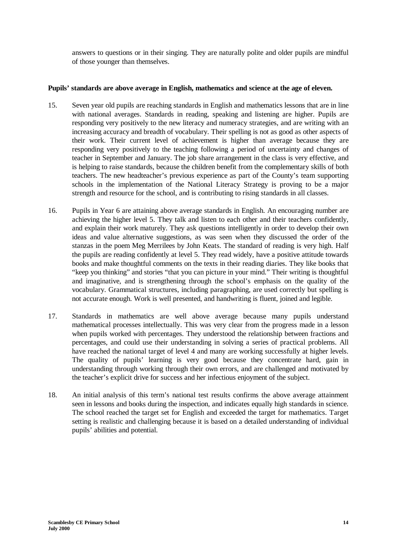answers to questions or in their singing. They are naturally polite and older pupils are mindful of those younger than themselves.

#### **Pupils' standards are above average in English, mathematics and science at the age of eleven.**

- 15. Seven year old pupils are reaching standards in English and mathematics lessons that are in line with national averages. Standards in reading, speaking and listening are higher. Pupils are responding very positively to the new literacy and numeracy strategies, and are writing with an increasing accuracy and breadth of vocabulary. Their spelling is not as good as other aspects of their work. Their current level of achievement is higher than average because they are responding very positively to the teaching following a period of uncertainty and changes of teacher in September and January. The job share arrangement in the class is very effective, and is helping to raise standards, because the children benefit from the complementary skills of both teachers. The new headteacher's previous experience as part of the County's team supporting schools in the implementation of the National Literacy Strategy is proving to be a major strength and resource for the school, and is contributing to rising standards in all classes.
- 16. Pupils in Year 6 are attaining above average standards in English. An encouraging number are achieving the higher level 5. They talk and listen to each other and their teachers confidently, and explain their work maturely. They ask questions intelligently in order to develop their own ideas and value alternative suggestions, as was seen when they discussed the order of the stanzas in the poem Meg Merrilees by John Keats. The standard of reading is very high. Half the pupils are reading confidently at level 5. They read widely, have a positive attitude towards books and make thoughtful comments on the texts in their reading diaries. They like books that "keep you thinking" and stories "that you can picture in your mind." Their writing is thoughtful and imaginative, and is strengthening through the school's emphasis on the quality of the vocabulary. Grammatical structures, including paragraphing, are used correctly but spelling is not accurate enough. Work is well presented, and handwriting is fluent, joined and legible.
- 17. Standards in mathematics are well above average because many pupils understand mathematical processes intellectually. This was very clear from the progress made in a lesson when pupils worked with percentages. They understood the relationship between fractions and percentages, and could use their understanding in solving a series of practical problems. All have reached the national target of level 4 and many are working successfully at higher levels. The quality of pupils' learning is very good because they concentrate hard, gain in understanding through working through their own errors, and are challenged and motivated by the teacher's explicit drive for success and her infectious enjoyment of the subject.
- 18. An initial analysis of this term's national test results confirms the above average attainment seen in lessons and books during the inspection, and indicates equally high standards in science. The school reached the target set for English and exceeded the target for mathematics. Target setting is realistic and challenging because it is based on a detailed understanding of individual pupils' abilities and potential.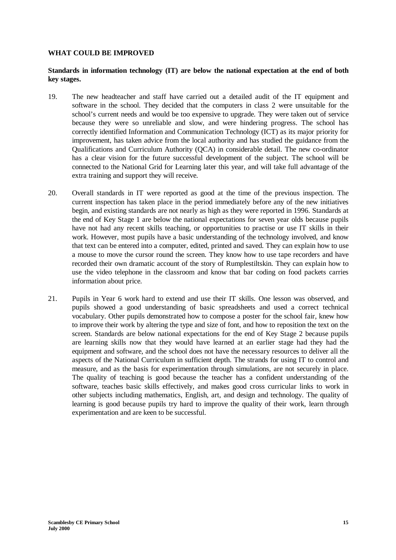#### **WHAT COULD BE IMPROVED**

## **Standards in information technology (IT) are below the national expectation at the end of both key stages.**

- 19. The new headteacher and staff have carried out a detailed audit of the IT equipment and software in the school. They decided that the computers in class 2 were unsuitable for the school's current needs and would be too expensive to upgrade. They were taken out of service because they were so unreliable and slow, and were hindering progress. The school has correctly identified Information and Communication Technology (ICT) as its major priority for improvement, has taken advice from the local authority and has studied the guidance from the Qualifications and Curriculum Authority (QCA) in considerable detail. The new co-ordinator has a clear vision for the future successful development of the subject. The school will be connected to the National Grid for Learning later this year, and will take full advantage of the extra training and support they will receive.
- 20. Overall standards in IT were reported as good at the time of the previous inspection. The current inspection has taken place in the period immediately before any of the new initiatives begin, and existing standards are not nearly as high as they were reported in 1996. Standards at the end of Key Stage 1 are below the national expectations for seven year olds because pupils have not had any recent skills teaching, or opportunities to practise or use IT skills in their work. However, most pupils have a basic understanding of the technology involved, and know that text can be entered into a computer, edited, printed and saved. They can explain how to use a mouse to move the cursor round the screen. They know how to use tape recorders and have recorded their own dramatic account of the story of Rumplestiltskin. They can explain how to use the video telephone in the classroom and know that bar coding on food packets carries information about price.
- 21. Pupils in Year 6 work hard to extend and use their IT skills. One lesson was observed, and pupils showed a good understanding of basic spreadsheets and used a correct technical vocabulary. Other pupils demonstrated how to compose a poster for the school fair, knew how to improve their work by altering the type and size of font, and how to reposition the text on the screen. Standards are below national expectations for the end of Key Stage 2 because pupils are learning skills now that they would have learned at an earlier stage had they had the equipment and software, and the school does not have the necessary resources to deliver all the aspects of the National Curriculum in sufficient depth. The strands for using IT to control and measure, and as the basis for experimentation through simulations, are not securely in place. The quality of teaching is good because the teacher has a confident understanding of the software, teaches basic skills effectively, and makes good cross curricular links to work in other subjects including mathematics, English, art, and design and technology. The quality of learning is good because pupils try hard to improve the quality of their work, learn through experimentation and are keen to be successful.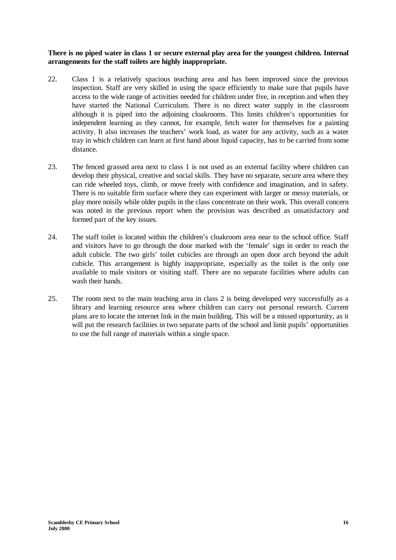## **There is no piped water in class 1 or secure external play area for the youngest children. Internal arrangements for the staff toilets are highly inappropriate.**

- 22. Class 1 is a relatively spacious teaching area and has been improved since the previous inspection. Staff are very skilled in using the space efficiently to make sure that pupils have access to the wide range of activities needed for children under five, in reception and when they have started the National Curriculum. There is no direct water supply in the classroom although it is piped into the adjoining cloakrooms. This limits children's opportunities for independent learning as they cannot, for example, fetch water for themselves for a painting activity. It also increases the teachers' work load, as water for any activity, such as a water tray in which children can learn at first hand about liquid capacity, has to be carried from some distance.
- 23. The fenced grassed area next to class 1 is not used as an external facility where children can develop their physical, creative and social skills. They have no separate, secure area where they can ride wheeled toys, climb, or move freely with confidence and imagination, and in safety. There is no suitable firm surface where they can experiment with larger or messy materials, or play more noisily while older pupils in the class concentrate on their work. This overall concern was noted in the previous report when the provision was described as unsatisfactory and formed part of the key issues.
- 24. The staff toilet is located within the children's cloakroom area near to the school office. Staff and visitors have to go through the door marked with the 'female' sign in order to reach the adult cubicle. The two girls' toilet cubicles are through an open door arch beyond the adult cubicle. This arrangement is highly inappropriate, especially as the toilet is the only one available to male visitors or visiting staff. There are no separate facilities where adults can wash their hands.
- 25. The room next to the main teaching area in class 2 is being developed very successfully as a library and learning resource area where children can carry out personal research. Current plans are to locate the internet link in the main building. This will be a missed opportunity, as it will put the research facilities in two separate parts of the school and limit pupils' opportunities to use the full range of materials within a single space.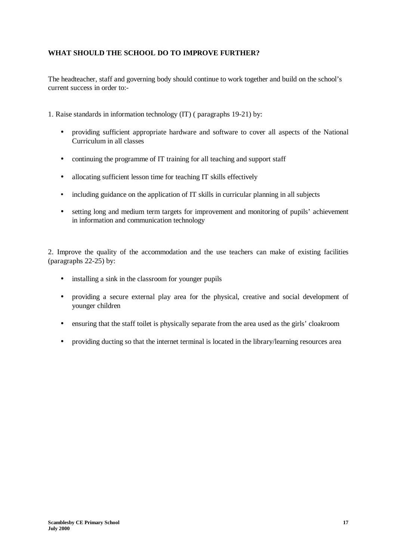# **WHAT SHOULD THE SCHOOL DO TO IMPROVE FURTHER?**

The headteacher, staff and governing body should continue to work together and build on the school's current success in order to:-

- 1. Raise standards in information technology (IT) ( paragraphs 19-21) by:
	- providing sufficient appropriate hardware and software to cover all aspects of the National Curriculum in all classes
	- continuing the programme of IT training for all teaching and support staff
	- allocating sufficient lesson time for teaching IT skills effectively
	- including guidance on the application of IT skills in curricular planning in all subjects
	- setting long and medium term targets for improvement and monitoring of pupils' achievement in information and communication technology

2. Improve the quality of the accommodation and the use teachers can make of existing facilities (paragraphs 22-25) by:

- installing a sink in the classroom for younger pupils
- providing a secure external play area for the physical, creative and social development of younger children
- ensuring that the staff toilet is physically separate from the area used as the girls' cloakroom
- providing ducting so that the internet terminal is located in the library/learning resources area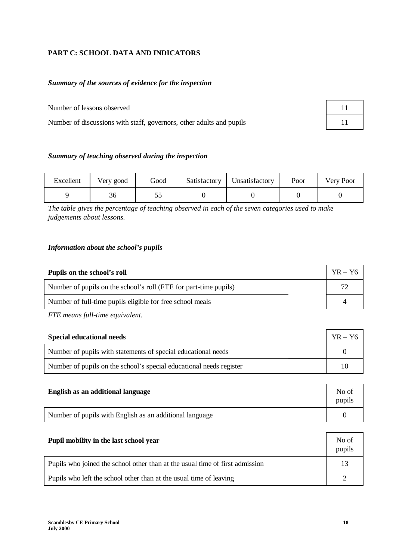# **PART C: SCHOOL DATA AND INDICATORS**

## *Summary of the sources of evidence for the inspection*

Number of lessons observed

Number of discussions with staff, governors, other adults and pupils

| 11 |  |
|----|--|
| 11 |  |

## *Summary of teaching observed during the inspection*

| Excellent | Very good | Good | Satisfactory | Unsatisfactory | Poor | Very Poor |
|-----------|-----------|------|--------------|----------------|------|-----------|
|           | 30        | ں ر  |              |                |      |           |

*The table gives the percentage of teaching observed in each of the seven categories used to make judgements about lessons.*

## *Information about the school's pupils*

| Pupils on the school's roll                                      | $YR - Y6$ |
|------------------------------------------------------------------|-----------|
| Number of pupils on the school's roll (FTE for part-time pupils) | 72        |
| Number of full-time pupils eligible for free school meals        |           |

*FTE means full-time equivalent.*

| <b>Special educational needs</b>                                    |    |
|---------------------------------------------------------------------|----|
| Number of pupils with statements of special educational needs       |    |
| Number of pupils on the school's special educational needs register | 10 |

| English as an additional language                       | No of<br>pupils |
|---------------------------------------------------------|-----------------|
| Number of pupils with English as an additional language |                 |

| Pupil mobility in the last school year                                       | No of<br>pupils |
|------------------------------------------------------------------------------|-----------------|
| Pupils who joined the school other than at the usual time of first admission | 13              |
| Pupils who left the school other than at the usual time of leaving           |                 |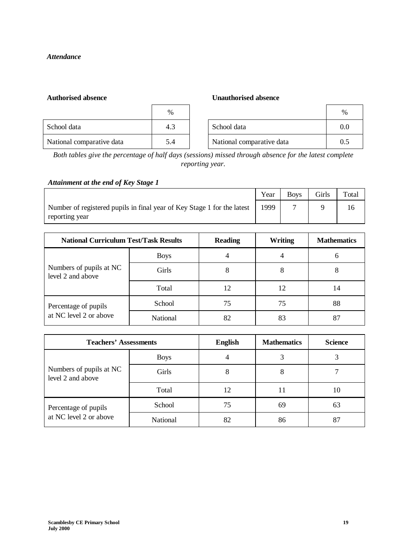# *Attendance*

## **Authorised absence Unauthorised absence**

|                           | %   |                           | $\frac{0}{0}$ |
|---------------------------|-----|---------------------------|---------------|
| School data               | 4.3 | School data               | 0.0           |
| National comparative data | 5.4 | National comparative data | 0.5           |

*Both tables give the percentage of half days (sessions) missed through absence for the latest complete reporting year.*

# *Attainment at the end of Key Stage 1*

|                                                                                           | Year | <b>Boys</b> | Girls | Total |
|-------------------------------------------------------------------------------------------|------|-------------|-------|-------|
| Number of registered pupils in final year of Key Stage 1 for the latest<br>reporting year | 1999 |             |       |       |

| <b>National Curriculum Test/Task Results</b> |                 | <b>Reading</b> | <b>Writing</b> | <b>Mathematics</b> |
|----------------------------------------------|-----------------|----------------|----------------|--------------------|
|                                              | <b>Boys</b>     | 4              |                | O                  |
| Numbers of pupils at NC<br>level 2 and above | Girls           | 8              | δ              | 8                  |
|                                              | Total           | 12             | 12             | 14                 |
| Percentage of pupils                         | School          | 75             | 75             | 88                 |
| at NC level 2 or above                       | <b>National</b> | 82             | 83             | 87                 |

| <b>Teachers' Assessments</b>                 |          | <b>English</b> | <b>Mathematics</b> | <b>Science</b> |
|----------------------------------------------|----------|----------------|--------------------|----------------|
| <b>Boys</b>                                  |          | 4              |                    |                |
| Numbers of pupils at NC<br>level 2 and above | Girls    | 8              | Ō                  |                |
|                                              | Total    | 12             | 11                 | 10             |
| Percentage of pupils                         | School   | 75             | 69                 | 63             |
| at NC level 2 or above                       | National | 82             | 86                 | 87             |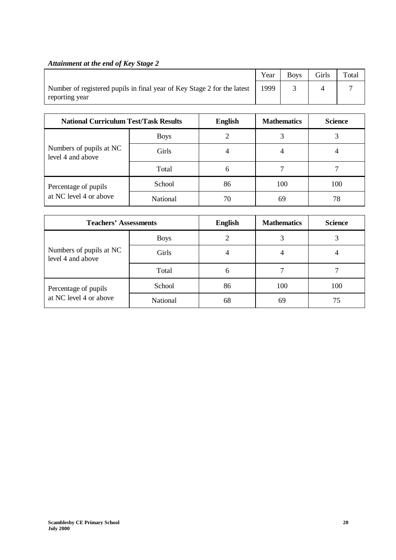# *Attainment at the end of Key Stage 2*

|                                                                                           | Year | <b>Boys</b> | Girls | Total |
|-------------------------------------------------------------------------------------------|------|-------------|-------|-------|
| Number of registered pupils in final year of Key Stage 2 for the latest<br>reporting year | 1999 |             |       |       |

| <b>National Curriculum Test/Task Results</b> |                 | <b>English</b> | <b>Mathematics</b> | <b>Science</b> |
|----------------------------------------------|-----------------|----------------|--------------------|----------------|
|                                              | <b>Boys</b>     | ∠              |                    |                |
| Numbers of pupils at NC<br>level 4 and above | Girls           | 4              |                    |                |
|                                              | Total           | 6              |                    |                |
| Percentage of pupils                         | School          | 86             | 100                | 100            |
| at NC level 4 or above                       | <b>National</b> | 70             | 69                 | 78             |

| <b>Teachers' Assessments</b>                 |                 | <b>English</b> | <b>Mathematics</b> | <b>Science</b> |
|----------------------------------------------|-----------------|----------------|--------------------|----------------|
| <b>Boys</b>                                  |                 |                |                    |                |
| Numbers of pupils at NC<br>level 4 and above | Girls           | 4              |                    |                |
|                                              | Total           | 6              |                    |                |
| Percentage of pupils                         | School          | 86             | 100                | 100            |
| at NC level 4 or above                       | <b>National</b> | 68             | 69                 | 75             |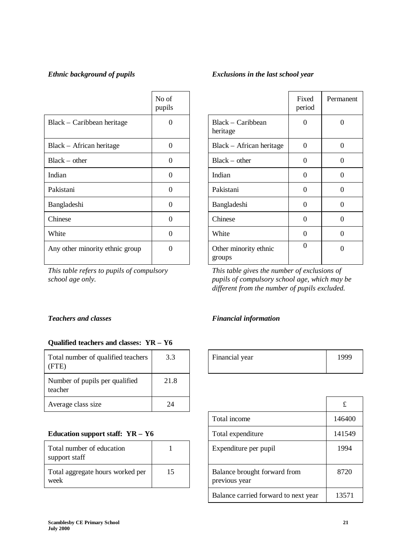|                                 | No of<br>pupils |                                 | Fixed<br>period | Perma            |
|---------------------------------|-----------------|---------------------------------|-----------------|------------------|
| Black – Caribbean heritage      | $\theta$        | Black – Caribbean<br>heritage   | 0               | $\boldsymbol{0}$ |
| Black – African heritage        | $\Omega$        | Black – African heritage        | $\Omega$        | $\boldsymbol{0}$ |
| $Black - other$                 | $\Omega$        | $Black - other$                 | 0               | $\theta$         |
| Indian                          | $\Omega$        | Indian                          | $\Omega$        | $\theta$         |
| Pakistani                       | $\theta$        | Pakistani                       | $\Omega$        | $\overline{0}$   |
| Bangladeshi                     | $\theta$        | Bangladeshi                     | $\Omega$        | $\overline{0}$   |
| Chinese                         | $\Omega$        | Chinese                         | $\Omega$        | $\overline{0}$   |
| White                           | $\Omega$        | White                           | 0               | $\theta$         |
| Any other minority ethnic group | $\Omega$        | Other minority ethnic<br>groups | 0               | $\overline{0}$   |

*This table refers to pupils of compulsory school age only.*

## **Qualified teachers and classes: YR – Y6**

| Total number of qualified teachers<br>(FTE) | 3.3  | Financial year | 199 |
|---------------------------------------------|------|----------------|-----|
| Number of pupils per qualified<br>teacher   | 21.8 |                |     |
| Average class size                          | 24   |                | £   |

# **Education support staff: YR - Y6**

| Total number of education<br>support staff |    |
|--------------------------------------------|----|
| Total aggregate hours worked per<br>week   | 15 |

# *Ethnic background of pupils Exclusions in the last school year*

|                                 | Fixed<br>period | Permanent |
|---------------------------------|-----------------|-----------|
| Black – Caribbean<br>heritage   | 0               | 0         |
| Black – African heritage        | 0               | 0         |
| $Black - other$                 | 0               | 0         |
| Indian                          | $\Omega$        | 0         |
| Pakistani                       | 0               | 0         |
| Bangladeshi                     | $\Omega$        | 0         |
| Chinese                         | $\Omega$        | ⋂         |
| White                           | 0               | 0         |
| Other minority ethnic<br>groups | $\Omega$        | ⋂         |

*This table gives the number of exclusions of pupils of compulsory school age, which may be different from the number of pupils excluded.*

# *Teachers and classes Financial information*

| 3.3 | Financial year | 1999 |
|-----|----------------|------|
|     |                |      |

| 24 |                                               | £      |
|----|-----------------------------------------------|--------|
|    | Total income                                  | 146400 |
|    | Total expenditure                             | 141549 |
|    | Expenditure per pupil                         | 1994   |
| 15 | Balance brought forward from<br>previous year | 8720   |
|    | Balance carried forward to next year          | 13571  |